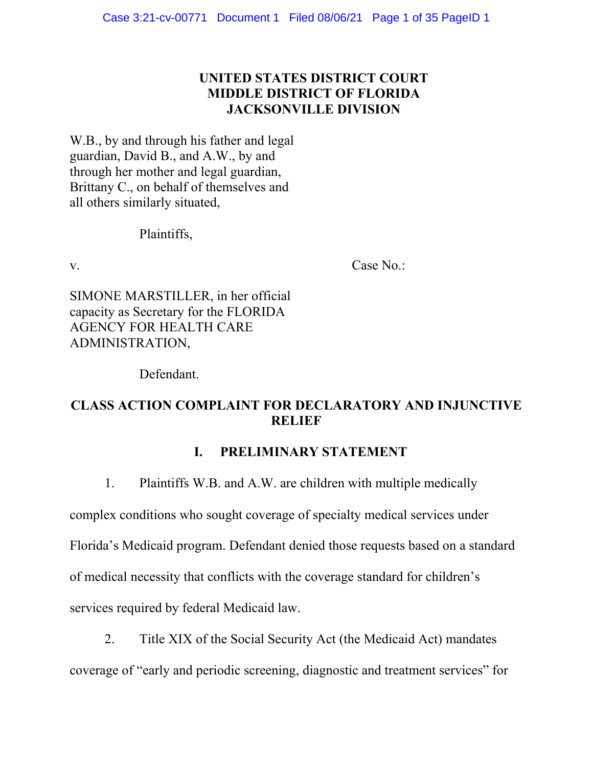# **UNITED STATES DISTRICT COURT MIDDLE DISTRICT OF FLORIDA JACKSONVILLE DIVISION**

W.B., by and through his father and legal guardian, David B., and A.W., by and through her mother and legal guardian, Brittany C., on behalf of themselves and all others similarly situated,

## Plaintiffs,

v. Case No.:

SIMONE MARSTILLER, in her official capacity as Secretary for the FLORIDA AGENCY FOR HEALTH CARE ADMINISTRATION,

Defendant.

# **CLASS ACTION COMPLAINT FOR DECLARATORY AND INJUNCTIVE RELIEF**

# **I. PRELIMINARY STATEMENT**

1. Plaintiffs W.B. and A.W. are children with multiple medically

complex conditions who sought coverage of specialty medical services under Florida's Medicaid program. Defendant denied those requests based on a standard of medical necessity that conflicts with the coverage standard for children's services required by federal Medicaid law.

2. Title XIX of the Social Security Act (the Medicaid Act) mandates coverage of "early and periodic screening, diagnostic and treatment services" for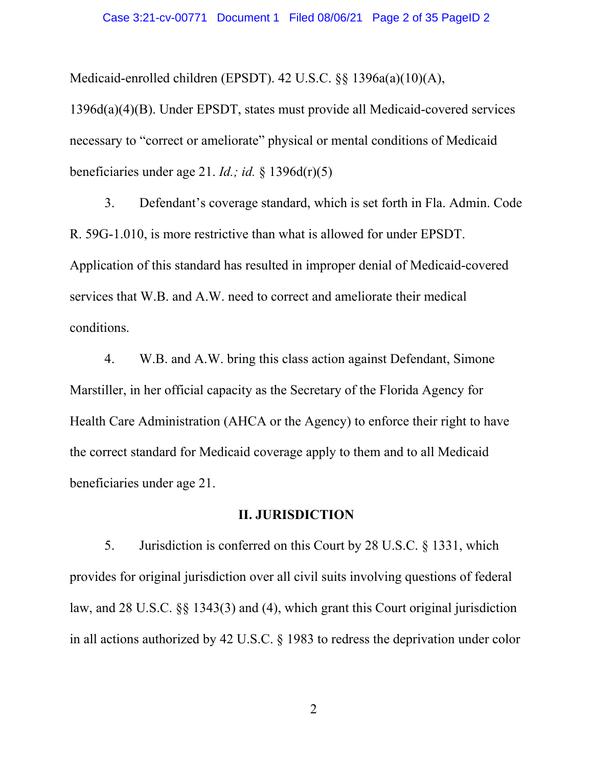Medicaid-enrolled children (EPSDT). 42 U.S.C. §§ 1396a(a)(10)(A),

1396d(a)(4)(B). Under EPSDT, states must provide all Medicaid-covered services necessary to "correct or ameliorate" physical or mental conditions of Medicaid beneficiaries under age 21. *Id.; id.* § 1396d(r)(5)

3. Defendant's coverage standard, which is set forth in Fla. Admin. Code R. 59G-1.010, is more restrictive than what is allowed for under EPSDT. Application of this standard has resulted in improper denial of Medicaid-covered services that W.B. and A.W. need to correct and ameliorate their medical conditions.

4. W.B. and A.W. bring this class action against Defendant, Simone Marstiller, in her official capacity as the Secretary of the Florida Agency for Health Care Administration (AHCA or the Agency) to enforce their right to have the correct standard for Medicaid coverage apply to them and to all Medicaid beneficiaries under age 21.

## **II. JURISDICTION**

5. Jurisdiction is conferred on this Court by 28 U.S.C. § 1331, which provides for original jurisdiction over all civil suits involving questions of federal law, and 28 U.S.C. §§ 1343(3) and (4), which grant this Court original jurisdiction in all actions authorized by 42 U.S.C. § 1983 to redress the deprivation under color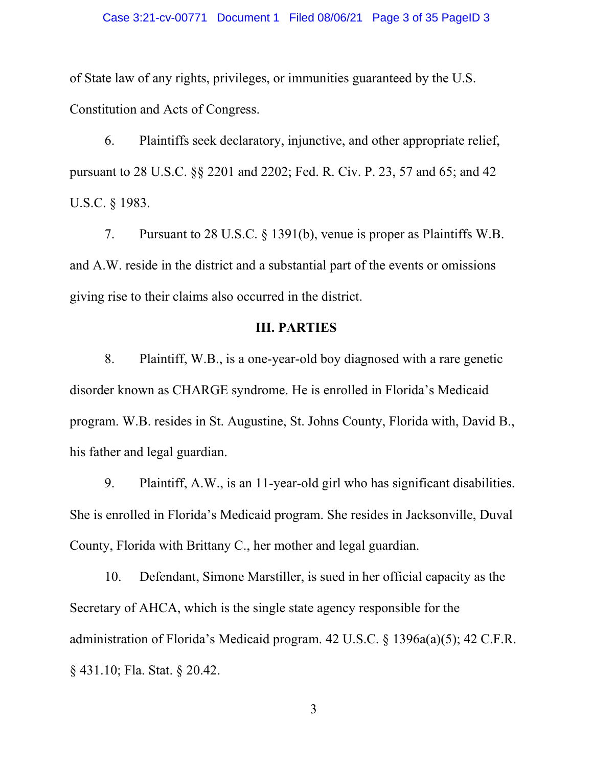of State law of any rights, privileges, or immunities guaranteed by the U.S. Constitution and Acts of Congress.

6. Plaintiffs seek declaratory, injunctive, and other appropriate relief, pursuant to 28 U.S.C. §§ 2201 and 2202; Fed. R. Civ. P. 23, 57 and 65; and 42 U.S.C. § 1983.

7. Pursuant to 28 U.S.C. § 1391(b), venue is proper as Plaintiffs W.B. and A.W. reside in the district and a substantial part of the events or omissions giving rise to their claims also occurred in the district.

## **III. PARTIES**

8. Plaintiff, W.B., is a one-year-old boy diagnosed with a rare genetic disorder known as CHARGE syndrome. He is enrolled in Florida's Medicaid program. W.B. resides in St. Augustine, St. Johns County, Florida with, David B., his father and legal guardian.

9. Plaintiff, A.W., is an 11-year-old girl who has significant disabilities. She is enrolled in Florida's Medicaid program. She resides in Jacksonville, Duval County, Florida with Brittany C., her mother and legal guardian.

10. Defendant, Simone Marstiller, is sued in her official capacity as the Secretary of AHCA, which is the single state agency responsible for the administration of Florida's Medicaid program. 42 U.S.C. § 1396a(a)(5); 42 C.F.R. § 431.10; Fla. Stat. § 20.42.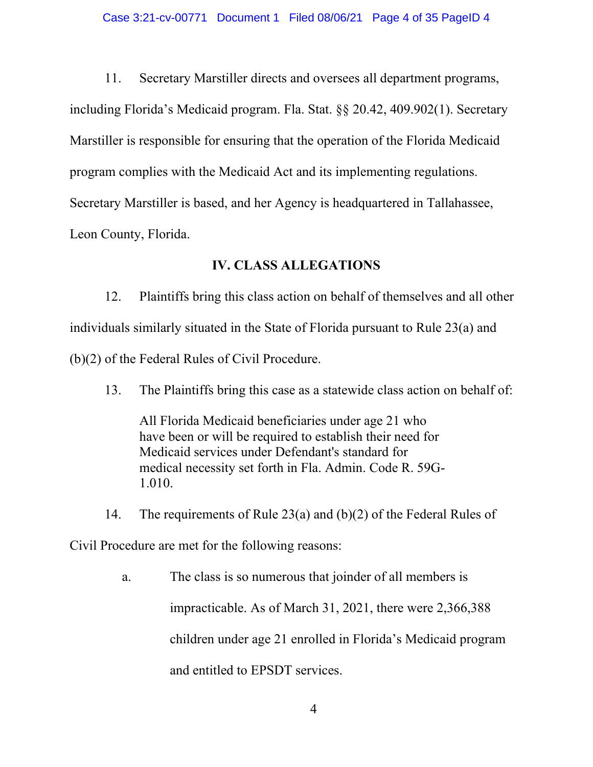11. Secretary Marstiller directs and oversees all department programs, including Florida's Medicaid program. Fla. Stat. §§ 20.42, 409.902(1). Secretary Marstiller is responsible for ensuring that the operation of the Florida Medicaid program complies with the Medicaid Act and its implementing regulations. Secretary Marstiller is based, and her Agency is headquartered in Tallahassee, Leon County, Florida.

## **IV. CLASS ALLEGATIONS**

12. Plaintiffs bring this class action on behalf of themselves and all other individuals similarly situated in the State of Florida pursuant to Rule 23(a) and (b)(2) of the Federal Rules of Civil Procedure.

13. The Plaintiffs bring this case as a statewide class action on behalf of:

All Florida Medicaid beneficiaries under age 21 who have been or will be required to establish their need for Medicaid services under Defendant's standard for medical necessity set forth in Fla. Admin. Code R. 59G-1.010.

14. The requirements of Rule 23(a) and (b)(2) of the Federal Rules of

Civil Procedure are met for the following reasons:

a. The class is so numerous that joinder of all members is impracticable. As of March 31, 2021, there were 2,366,388 children under age 21 enrolled in Florida's Medicaid program and entitled to EPSDT services.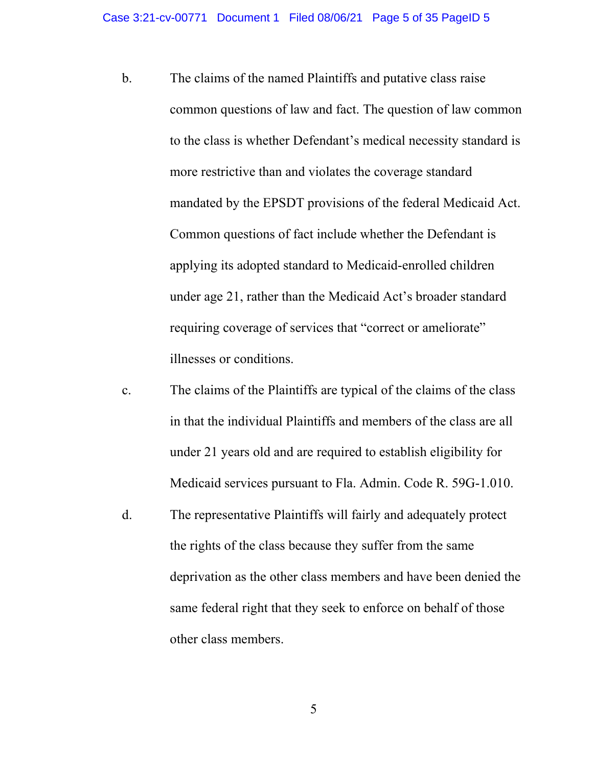- b. The claims of the named Plaintiffs and putative class raise common questions of law and fact. The question of law common to the class is whether Defendant's medical necessity standard is more restrictive than and violates the coverage standard mandated by the EPSDT provisions of the federal Medicaid Act. Common questions of fact include whether the Defendant is applying its adopted standard to Medicaid-enrolled children under age 21, rather than the Medicaid Act's broader standard requiring coverage of services that "correct or ameliorate" illnesses or conditions.
- c. The claims of the Plaintiffs are typical of the claims of the class in that the individual Plaintiffs and members of the class are all under 21 years old and are required to establish eligibility for Medicaid services pursuant to Fla. Admin. Code R. 59G-1.010.
- d. The representative Plaintiffs will fairly and adequately protect the rights of the class because they suffer from the same deprivation as the other class members and have been denied the same federal right that they seek to enforce on behalf of those other class members.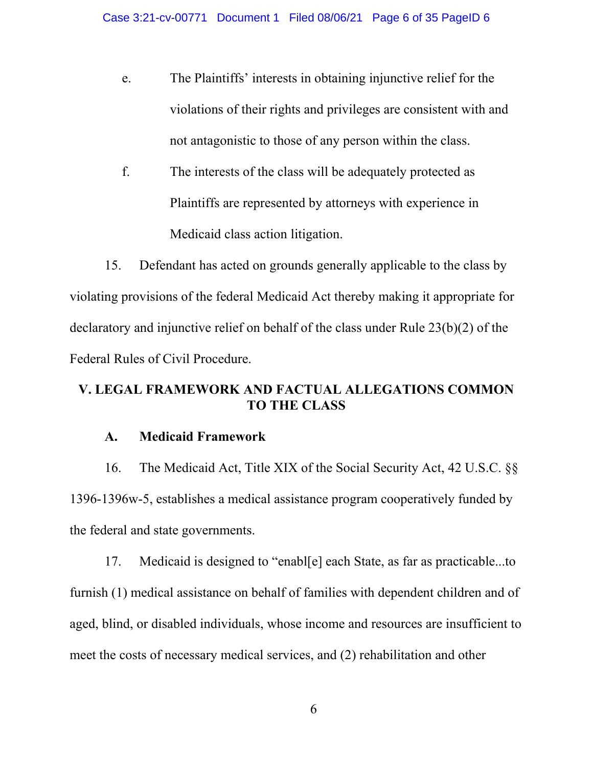- e. The Plaintiffs' interests in obtaining injunctive relief for the violations of their rights and privileges are consistent with and not antagonistic to those of any person within the class.
- f. The interests of the class will be adequately protected as Plaintiffs are represented by attorneys with experience in Medicaid class action litigation.

15. Defendant has acted on grounds generally applicable to the class by violating provisions of the federal Medicaid Act thereby making it appropriate for declaratory and injunctive relief on behalf of the class under Rule 23(b)(2) of the Federal Rules of Civil Procedure.

# **V. LEGAL FRAMEWORK AND FACTUAL ALLEGATIONS COMMON TO THE CLASS**

## **A. Medicaid Framework**

16. The Medicaid Act, Title XIX of the Social Security Act, 42 U.S.C. §§ 1396-1396w-5, establishes a medical assistance program cooperatively funded by the federal and state governments.

17. Medicaid is designed to "enabl[e] each State, as far as practicable...to furnish (1) medical assistance on behalf of families with dependent children and of aged, blind, or disabled individuals, whose income and resources are insufficient to meet the costs of necessary medical services, and (2) rehabilitation and other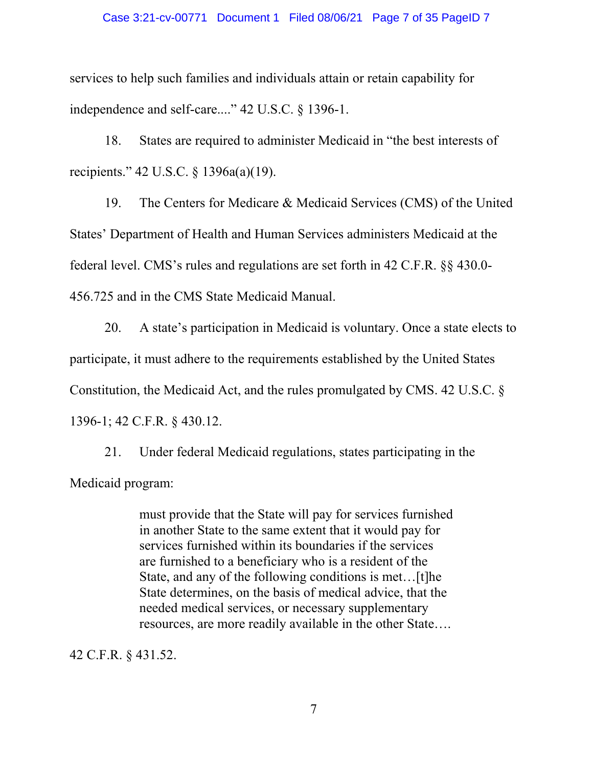#### Case 3:21-cv-00771 Document 1 Filed 08/06/21 Page 7 of 35 PageID 7

services to help such families and individuals attain or retain capability for independence and self-care...." 42 U.S.C. § 1396-1.

18. States are required to administer Medicaid in "the best interests of recipients." 42 U.S.C. § 1396a(a)(19).

19. The Centers for Medicare & Medicaid Services (CMS) of the United States' Department of Health and Human Services administers Medicaid at the federal level. CMS's rules and regulations are set forth in 42 C.F.R. §§ 430.0- 456.725 and in the CMS State Medicaid Manual.

20. A state's participation in Medicaid is voluntary. Once a state elects to participate, it must adhere to the requirements established by the United States Constitution, the Medicaid Act, and the rules promulgated by CMS. 42 U.S.C. § 1396-1; 42 C.F.R. § 430.12.

21. Under federal Medicaid regulations, states participating in the Medicaid program:

> must provide that the State will pay for services furnished in another State to the same extent that it would pay for services furnished within its boundaries if the services are furnished to a beneficiary who is a resident of the State, and any of the following conditions is met…[t]he State determines, on the basis of medical advice, that the needed medical services, or necessary supplementary resources, are more readily available in the other State….

42 C.F.R. § 431.52.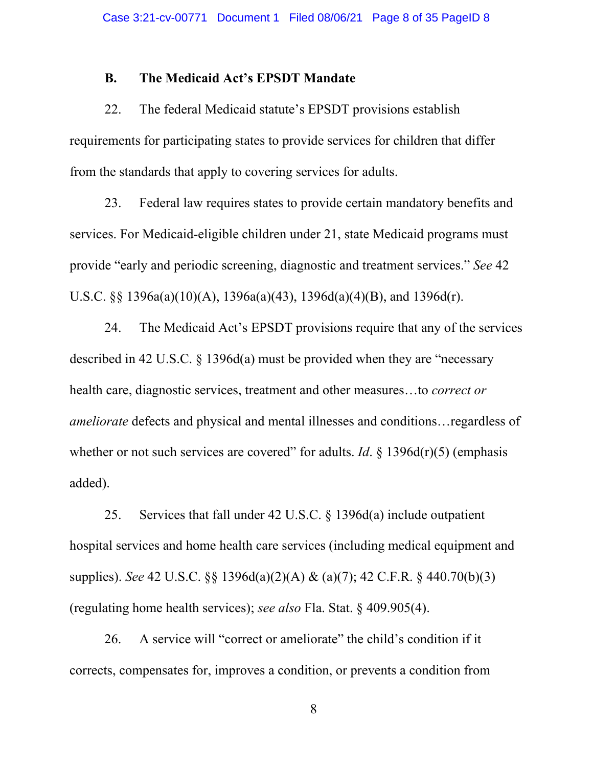### **B. The Medicaid Act's EPSDT Mandate**

22. The federal Medicaid statute's EPSDT provisions establish requirements for participating states to provide services for children that differ from the standards that apply to covering services for adults.

23. Federal law requires states to provide certain mandatory benefits and services. For Medicaid-eligible children under 21, state Medicaid programs must provide "early and periodic screening, diagnostic and treatment services." *See* 42 U.S.C. §§ 1396a(a)(10)(A), 1396a(a)(43), 1396d(a)(4)(B), and 1396d(r).

24. The Medicaid Act's EPSDT provisions require that any of the services described in 42 U.S.C. § 1396d(a) must be provided when they are "necessary health care, diagnostic services, treatment and other measures…to *correct or ameliorate* defects and physical and mental illnesses and conditions…regardless of whether or not such services are covered" for adults. *Id*. § 1396d(r)(5) (emphasis added).

25. Services that fall under 42 U.S.C. § 1396d(a) include outpatient hospital services and home health care services (including medical equipment and supplies). *See* 42 U.S.C. §§ 1396d(a)(2)(A) & (a)(7); 42 C.F.R. § 440.70(b)(3) (regulating home health services); *see also* Fla. Stat. § 409.905(4).

26. A service will "correct or ameliorate" the child's condition if it corrects, compensates for, improves a condition, or prevents a condition from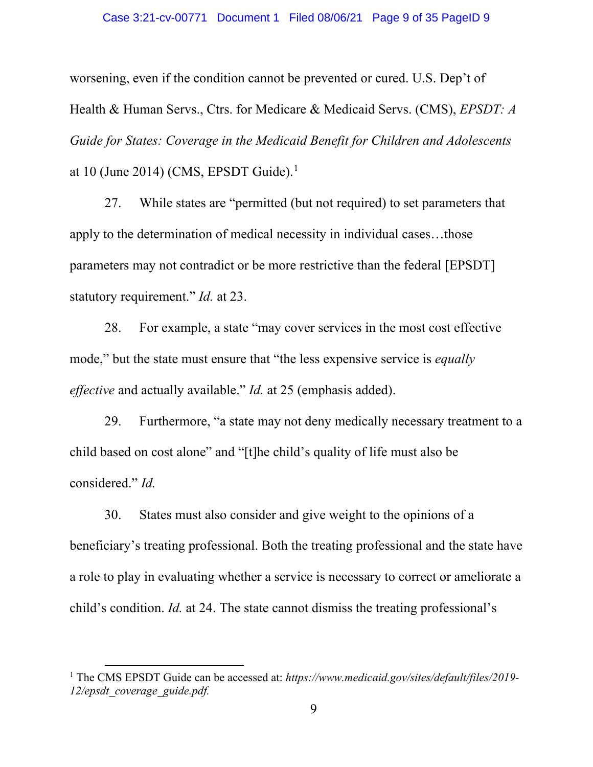### Case 3:21-cv-00771 Document 1 Filed 08/06/21 Page 9 of 35 PageID 9

worsening, even if the condition cannot be prevented or cured. U.S. Dep't of Health & Human Servs., Ctrs. for Medicare & Medicaid Servs. (CMS), *EPSDT: A Guide for States: Coverage in the Medicaid Benefit for Children and Adolescents*  at [1](#page-8-0)0 (June 2014) (CMS, EPSDT Guide).<sup>1</sup>

27. While states are "permitted (but not required) to set parameters that apply to the determination of medical necessity in individual cases…those parameters may not contradict or be more restrictive than the federal [EPSDT] statutory requirement." *Id.* at 23.

28. For example, a state "may cover services in the most cost effective mode," but the state must ensure that "the less expensive service is *equally effective* and actually available." *Id.* at 25 (emphasis added).

29. Furthermore, "a state may not deny medically necessary treatment to a child based on cost alone" and "[t]he child's quality of life must also be considered." *Id.*

30. States must also consider and give weight to the opinions of a beneficiary's treating professional. Both the treating professional and the state have a role to play in evaluating whether a service is necessary to correct or ameliorate a child's condition. *Id.* at 24. The state cannot dismiss the treating professional's

 $\overline{\phantom{a}}$ 

<span id="page-8-0"></span><sup>1</sup> The CMS EPSDT Guide can be accessed at: *https://www.medicaid.gov/sites/default/files/2019- 12/epsdt\_coverage\_guide.pdf.*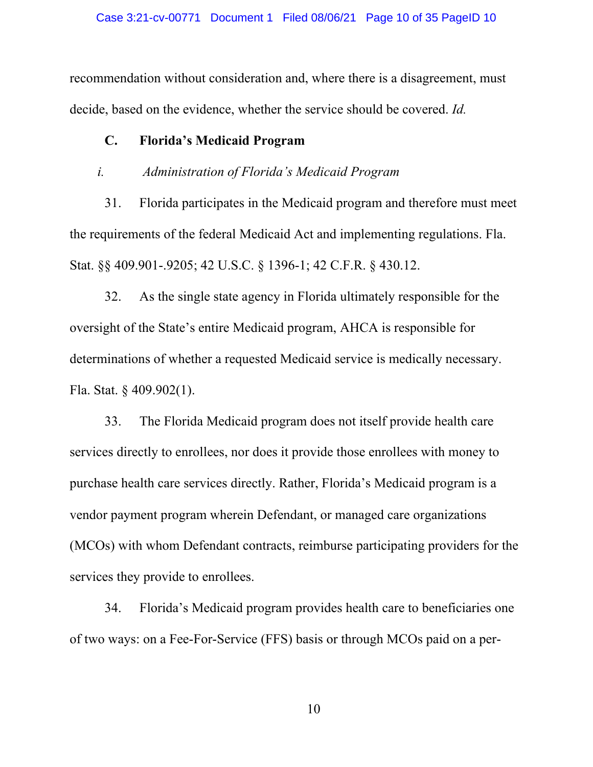recommendation without consideration and, where there is a disagreement, must decide, based on the evidence, whether the service should be covered. *Id.*

# **C. Florida's Medicaid Program**

# *i. Administration of Florida's Medicaid Program*

31. Florida participates in the Medicaid program and therefore must meet the requirements of the federal Medicaid Act and implementing regulations. Fla. Stat. §§ 409.901-.9205; 42 U.S.C. § 1396-1; 42 C.F.R. § 430.12.

32. As the single state agency in Florida ultimately responsible for the oversight of the State's entire Medicaid program, AHCA is responsible for determinations of whether a requested Medicaid service is medically necessary. Fla. Stat. § 409.902(1).

33. The Florida Medicaid program does not itself provide health care services directly to enrollees, nor does it provide those enrollees with money to purchase health care services directly. Rather, Florida's Medicaid program is a vendor payment program wherein Defendant, or managed care organizations (MCOs) with whom Defendant contracts, reimburse participating providers for the services they provide to enrollees.

34. Florida's Medicaid program provides health care to beneficiaries one of two ways: on a Fee-For-Service (FFS) basis or through MCOs paid on a per-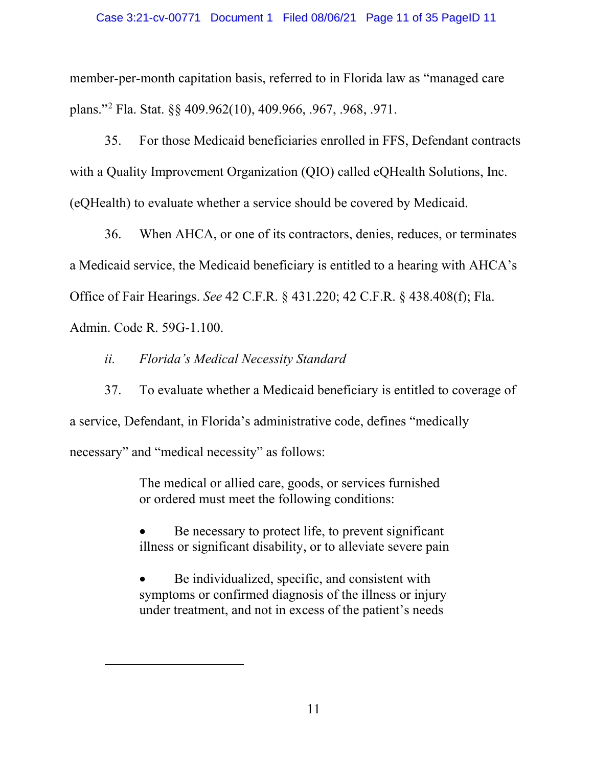member-per-month capitation basis, referred to in Florida law as "managed care plans."[2](#page-10-0) Fla. Stat. §§ 409.962(10), 409.966, .967, .968, .971.

35. For those Medicaid beneficiaries enrolled in FFS, Defendant contracts with a Quality Improvement Organization (QIO) called eQHealth Solutions, Inc. (eQHealth) to evaluate whether a service should be covered by Medicaid.

36. When AHCA, or one of its contractors, denies, reduces, or terminates a Medicaid service, the Medicaid beneficiary is entitled to a hearing with AHCA's Office of Fair Hearings. *See* 42 C.F.R. § 431.220; 42 C.F.R. § 438.408(f); Fla. Admin. Code R. 59G-1.100.

*ii. Florida's Medical Necessity Standard*

<span id="page-10-0"></span>l

37. To evaluate whether a Medicaid beneficiary is entitled to coverage of a service, Defendant, in Florida's administrative code, defines "medically necessary" and "medical necessity" as follows:

> The medical or allied care, goods, or services furnished or ordered must meet the following conditions:

Be necessary to protect life, to prevent significant illness or significant disability, or to alleviate severe pain

Be individualized, specific, and consistent with symptoms or confirmed diagnosis of the illness or injury under treatment, and not in excess of the patient's needs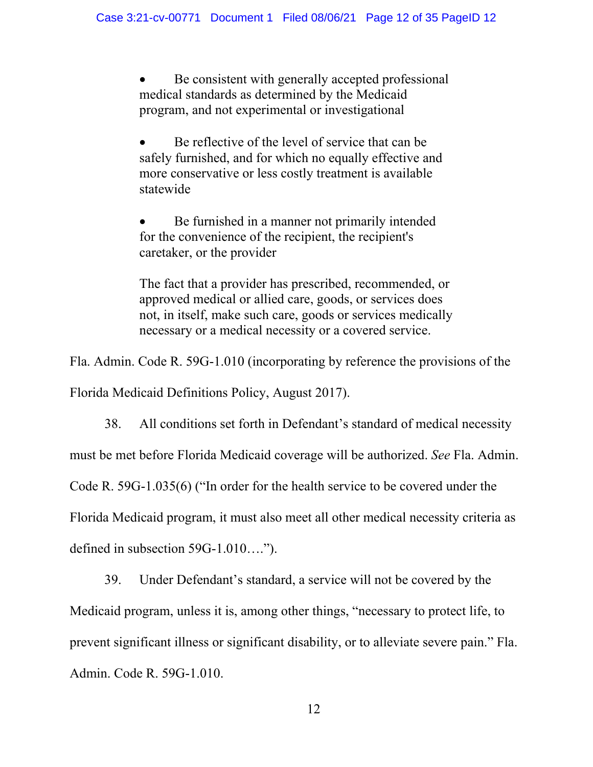Be consistent with generally accepted professional medical standards as determined by the Medicaid program, and not experimental or investigational

Be reflective of the level of service that can be safely furnished, and for which no equally effective and more conservative or less costly treatment is available statewide

Be furnished in a manner not primarily intended for the convenience of the recipient, the recipient's caretaker, or the provider

The fact that a provider has prescribed, recommended, or approved medical or allied care, goods, or services does not, in itself, make such care, goods or services medically necessary or a medical necessity or a covered service.

Fla. Admin. Code R. 59G-1.010 (incorporating by reference the provisions of the

Florida Medicaid Definitions Policy, August 2017).

38. All conditions set forth in Defendant's standard of medical necessity must be met before Florida Medicaid coverage will be authorized. *See* Fla. Admin. Code R. 59G-1.035(6) ("In order for the health service to be covered under the Florida Medicaid program, it must also meet all other medical necessity criteria as defined in subsection 59G-1.010….").

39. Under Defendant's standard, a service will not be covered by the Medicaid program, unless it is, among other things, "necessary to protect life, to prevent significant illness or significant disability, or to alleviate severe pain." Fla. Admin. Code R. 59G-1.010.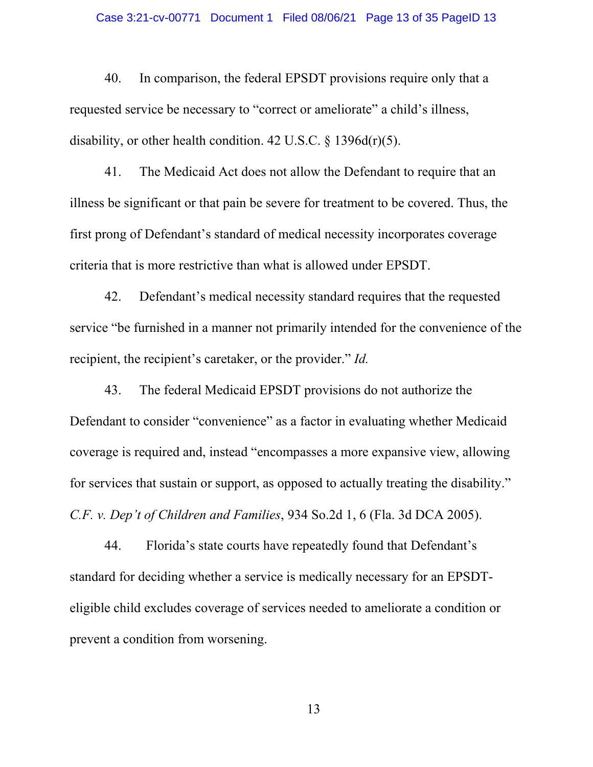#### Case 3:21-cv-00771 Document 1 Filed 08/06/21 Page 13 of 35 PageID 13

40. In comparison, the federal EPSDT provisions require only that a requested service be necessary to "correct or ameliorate" a child's illness, disability, or other health condition. 42 U.S.C.  $\S$  1396d(r)(5).

41. The Medicaid Act does not allow the Defendant to require that an illness be significant or that pain be severe for treatment to be covered. Thus, the first prong of Defendant's standard of medical necessity incorporates coverage criteria that is more restrictive than what is allowed under EPSDT.

42. Defendant's medical necessity standard requires that the requested service "be furnished in a manner not primarily intended for the convenience of the recipient, the recipient's caretaker, or the provider." *Id.*

43. The federal Medicaid EPSDT provisions do not authorize the Defendant to consider "convenience" as a factor in evaluating whether Medicaid coverage is required and, instead "encompasses a more expansive view, allowing for services that sustain or support, as opposed to actually treating the disability." *C.F. v. Dep't of Children and Families*, 934 So.2d 1, 6 (Fla. 3d DCA 2005).

44. Florida's state courts have repeatedly found that Defendant's standard for deciding whether a service is medically necessary for an EPSDTeligible child excludes coverage of services needed to ameliorate a condition or prevent a condition from worsening.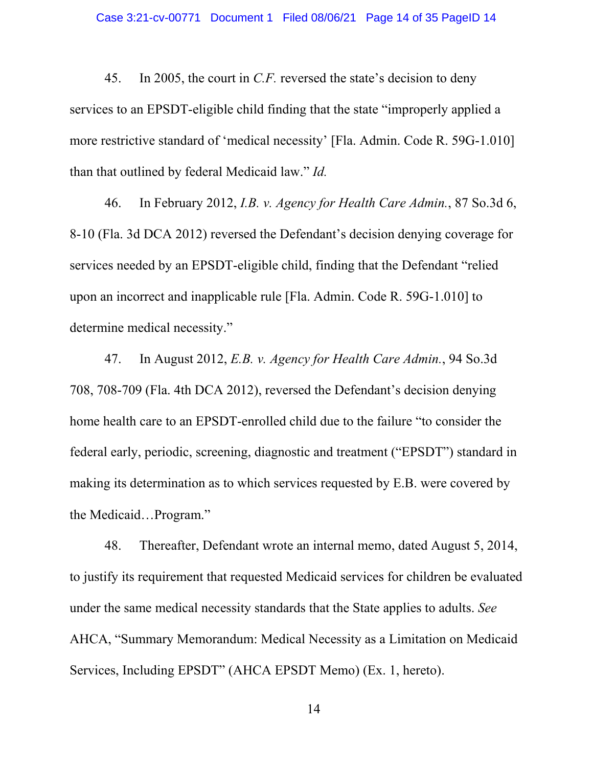45. In 2005, the court in *C.F.* reversed the state's decision to deny services to an EPSDT-eligible child finding that the state "improperly applied a more restrictive standard of 'medical necessity' [Fla. Admin. Code R. 59G-1.010] than that outlined by federal Medicaid law." *Id.* 

46. In February 2012, *I.B. v. Agency for Health Care Admin.*, 87 So.3d 6, 8-10 (Fla. 3d DCA 2012) reversed the Defendant's decision denying coverage for services needed by an EPSDT-eligible child, finding that the Defendant "relied upon an incorrect and inapplicable rule [Fla. Admin. Code R. 59G-1.010] to determine medical necessity."

47. In August 2012, *E.B. v. Agency for Health Care Admin.*, 94 So.3d 708, 708-709 (Fla. 4th DCA 2012), reversed the Defendant's decision denying home health care to an EPSDT-enrolled child due to the failure "to consider the federal early, periodic, screening, diagnostic and treatment ("EPSDT") standard in making its determination as to which services requested by E.B. were covered by the Medicaid…Program."

48. Thereafter, Defendant wrote an internal memo, dated August 5, 2014, to justify its requirement that requested Medicaid services for children be evaluated under the same medical necessity standards that the State applies to adults. *See* AHCA, "Summary Memorandum: Medical Necessity as a Limitation on Medicaid Services, Including EPSDT" (AHCA EPSDT Memo) (Ex. 1, hereto).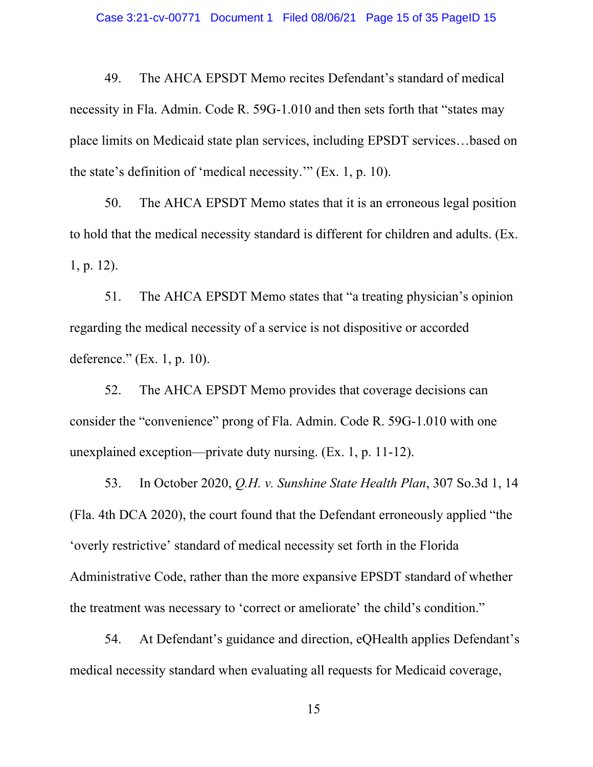49. The AHCA EPSDT Memo recites Defendant's standard of medical necessity in Fla. Admin. Code R. 59G-1.010 and then sets forth that "states may place limits on Medicaid state plan services, including EPSDT services…based on the state's definition of 'medical necessity.'" (Ex. 1, p. 10).

50. The AHCA EPSDT Memo states that it is an erroneous legal position to hold that the medical necessity standard is different for children and adults. (Ex. 1, p. 12).

51. The AHCA EPSDT Memo states that "a treating physician's opinion regarding the medical necessity of a service is not dispositive or accorded deference." (Ex. 1, p. 10).

52. The AHCA EPSDT Memo provides that coverage decisions can consider the "convenience" prong of Fla. Admin. Code R. 59G-1.010 with one unexplained exception—private duty nursing. (Ex. 1, p. 11-12).

53. In October 2020, *Q.H. v. Sunshine State Health Plan*, 307 So.3d 1, 14 (Fla. 4th DCA 2020), the court found that the Defendant erroneously applied "the 'overly restrictive' standard of medical necessity set forth in the Florida Administrative Code, rather than the more expansive EPSDT standard of whether the treatment was necessary to 'correct or ameliorate' the child's condition."

54. At Defendant's guidance and direction, eQHealth applies Defendant's medical necessity standard when evaluating all requests for Medicaid coverage,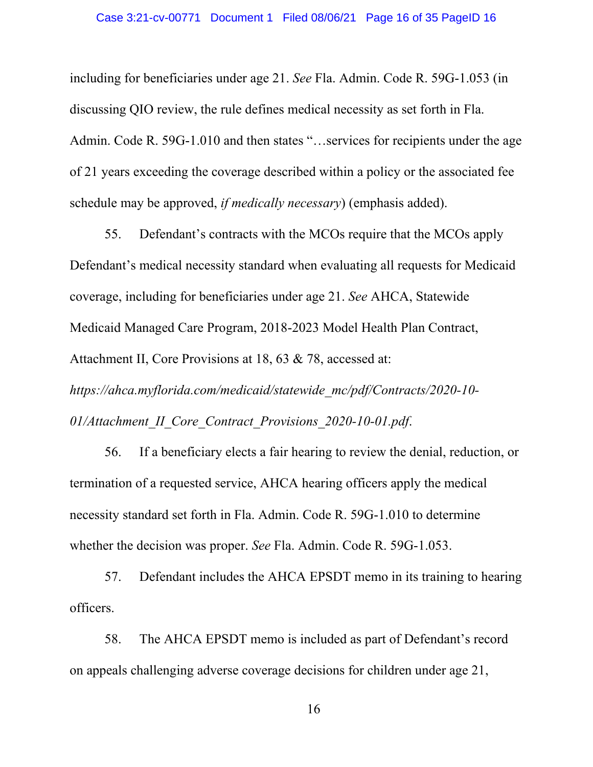including for beneficiaries under age 21. *See* Fla. Admin. Code R. 59G-1.053 (in discussing QIO review, the rule defines medical necessity as set forth in Fla. Admin. Code R. 59G-1.010 and then states "…services for recipients under the age of 21 years exceeding the coverage described within a policy or the associated fee schedule may be approved, *if medically necessary*) (emphasis added).

55. Defendant's contracts with the MCOs require that the MCOs apply Defendant's medical necessity standard when evaluating all requests for Medicaid coverage, including for beneficiaries under age 21. *See* AHCA, Statewide Medicaid Managed Care Program, 2018-2023 Model Health Plan Contract, Attachment II, Core Provisions at 18, 63 & 78, accessed at: *https://ahca.myflorida.com/medicaid/statewide\_mc/pdf/Contracts/2020-10- 01/Attachment\_II\_Core\_Contract\_Provisions\_2020-10-01.pdf*.

56. If a beneficiary elects a fair hearing to review the denial, reduction, or termination of a requested service, AHCA hearing officers apply the medical necessity standard set forth in Fla. Admin. Code R. 59G-1.010 to determine whether the decision was proper. *See* Fla. Admin. Code R. 59G-1.053.

57. Defendant includes the AHCA EPSDT memo in its training to hearing officers.

58. The AHCA EPSDT memo is included as part of Defendant's record on appeals challenging adverse coverage decisions for children under age 21,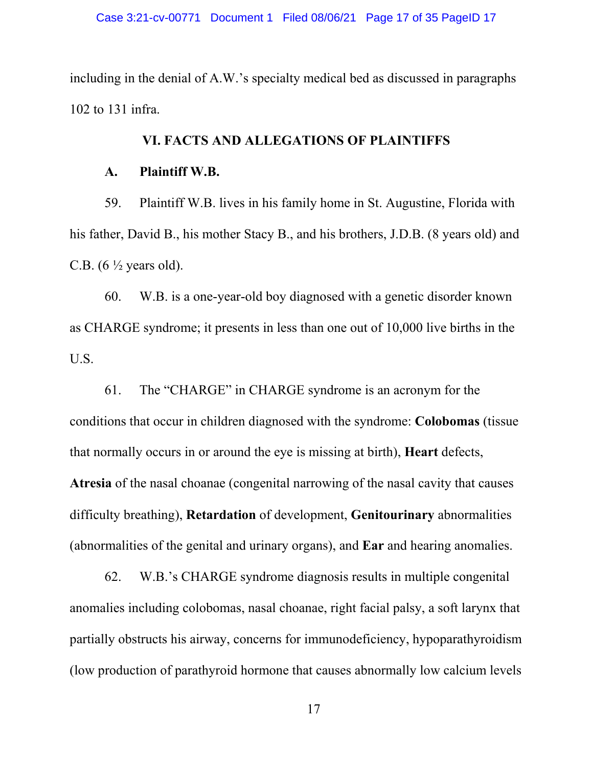including in the denial of A.W.'s specialty medical bed as discussed in paragraphs 102 to 131 infra.

# **VI. FACTS AND ALLEGATIONS OF PLAINTIFFS**

### **A. Plaintiff W.B.**

59. Plaintiff W.B. lives in his family home in St. Augustine, Florida with his father, David B., his mother Stacy B., and his brothers, J.D.B. (8 years old) and C.B.  $(6 \frac{1}{2} \text{ years old}).$ 

60. W.B. is a one-year-old boy diagnosed with a genetic disorder known as CHARGE syndrome; it presents in less than one out of 10,000 live births in the U.S.

61. The "CHARGE" in CHARGE syndrome is an acronym for the conditions that occur in children diagnosed with the syndrome: **Colobomas** (tissue that normally occurs in or around the eye is missing at birth), **Heart** defects, **Atresia** of the nasal choanae (congenital narrowing of the nasal cavity that causes difficulty breathing), **Retardation** of development, **Genitourinary** abnormalities (abnormalities of the genital and urinary organs), and **Ear** and hearing anomalies.

62. W.B.'s CHARGE syndrome diagnosis results in multiple congenital anomalies including colobomas, nasal choanae, right facial palsy, a soft larynx that partially obstructs his airway, concerns for immunodeficiency, hypoparathyroidism (low production of parathyroid hormone that causes abnormally low calcium levels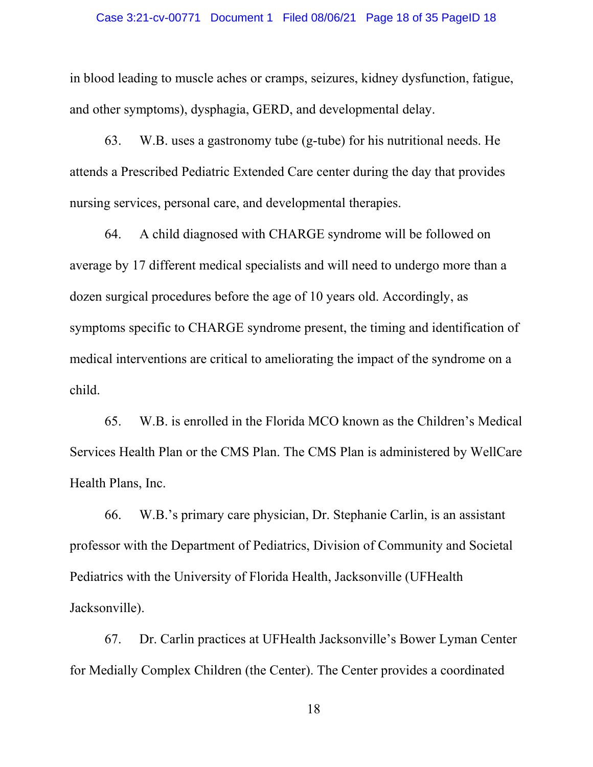in blood leading to muscle aches or cramps, seizures, kidney dysfunction, fatigue, and other symptoms), dysphagia, GERD, and developmental delay.

63. W.B. uses a gastronomy tube (g-tube) for his nutritional needs. He attends a Prescribed Pediatric Extended Care center during the day that provides nursing services, personal care, and developmental therapies.

64. A child diagnosed with CHARGE syndrome will be followed on average by 17 different medical specialists and will need to undergo more than a dozen surgical procedures before the age of 10 years old. Accordingly, as symptoms specific to CHARGE syndrome present, the timing and identification of medical interventions are critical to ameliorating the impact of the syndrome on a child.

65. W.B. is enrolled in the Florida MCO known as the Children's Medical Services Health Plan or the CMS Plan. The CMS Plan is administered by WellCare Health Plans, Inc.

66. W.B.'s primary care physician, Dr. Stephanie Carlin, is an assistant professor with the Department of Pediatrics, Division of Community and Societal Pediatrics with the University of Florida Health, Jacksonville (UFHealth Jacksonville).

67. Dr. Carlin practices at UFHealth Jacksonville's Bower Lyman Center for Medially Complex Children (the Center). The Center provides a coordinated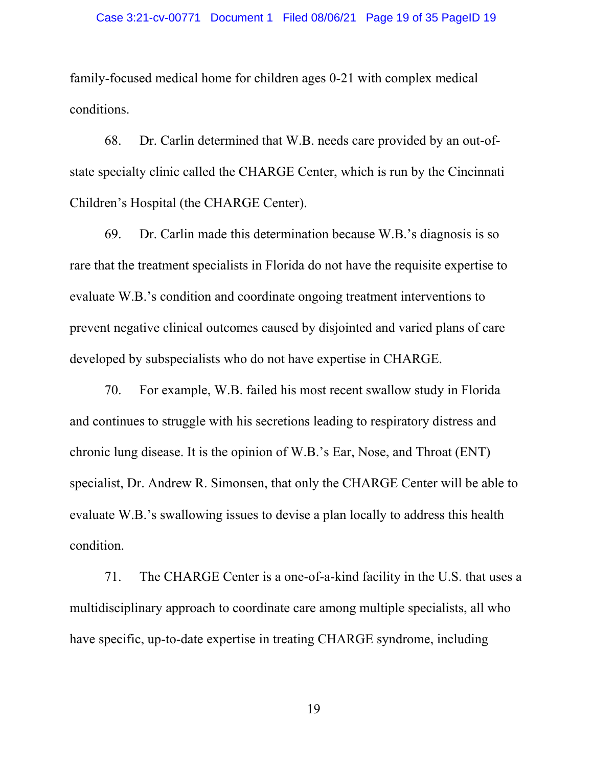family-focused medical home for children ages 0-21 with complex medical conditions.

68. Dr. Carlin determined that W.B. needs care provided by an out-ofstate specialty clinic called the CHARGE Center, which is run by the Cincinnati Children's Hospital (the CHARGE Center).

69. Dr. Carlin made this determination because W.B.'s diagnosis is so rare that the treatment specialists in Florida do not have the requisite expertise to evaluate W.B.'s condition and coordinate ongoing treatment interventions to prevent negative clinical outcomes caused by disjointed and varied plans of care developed by subspecialists who do not have expertise in CHARGE.

70. For example, W.B. failed his most recent swallow study in Florida and continues to struggle with his secretions leading to respiratory distress and chronic lung disease. It is the opinion of W.B.'s Ear, Nose, and Throat (ENT) specialist, Dr. Andrew R. Simonsen, that only the CHARGE Center will be able to evaluate W.B.'s swallowing issues to devise a plan locally to address this health condition.

71. The CHARGE Center is a one-of-a-kind facility in the U.S. that uses a multidisciplinary approach to coordinate care among multiple specialists, all who have specific, up-to-date expertise in treating CHARGE syndrome, including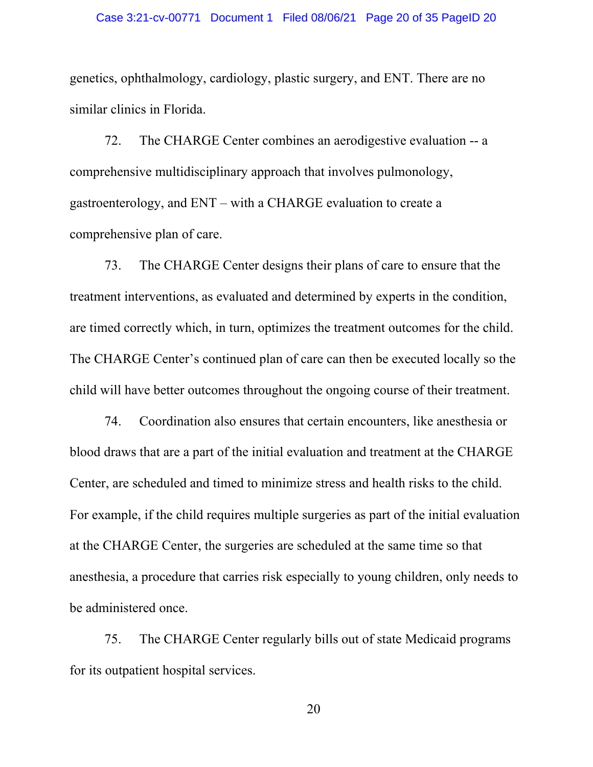#### Case 3:21-cv-00771 Document 1 Filed 08/06/21 Page 20 of 35 PageID 20

genetics, ophthalmology, cardiology, plastic surgery, and ENT. There are no similar clinics in Florida.

72. The CHARGE Center combines an aerodigestive evaluation -- a comprehensive multidisciplinary approach that involves pulmonology, gastroenterology, and ENT – with a CHARGE evaluation to create a comprehensive plan of care.

73. The CHARGE Center designs their plans of care to ensure that the treatment interventions, as evaluated and determined by experts in the condition, are timed correctly which, in turn, optimizes the treatment outcomes for the child. The CHARGE Center's continued plan of care can then be executed locally so the child will have better outcomes throughout the ongoing course of their treatment.

74. Coordination also ensures that certain encounters, like anesthesia or blood draws that are a part of the initial evaluation and treatment at the CHARGE Center, are scheduled and timed to minimize stress and health risks to the child. For example, if the child requires multiple surgeries as part of the initial evaluation at the CHARGE Center, the surgeries are scheduled at the same time so that anesthesia, a procedure that carries risk especially to young children, only needs to be administered once.

75. The CHARGE Center regularly bills out of state Medicaid programs for its outpatient hospital services.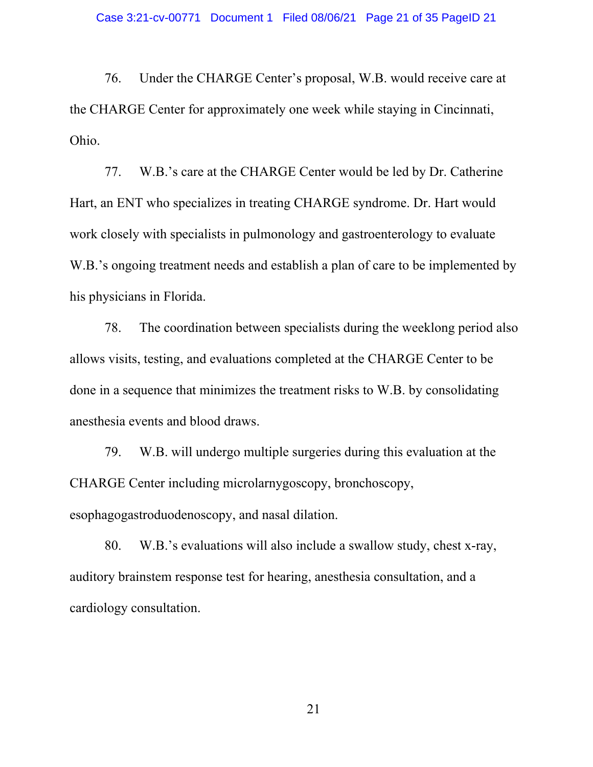76. Under the CHARGE Center's proposal, W.B. would receive care at the CHARGE Center for approximately one week while staying in Cincinnati, Ohio.

77. W.B.'s care at the CHARGE Center would be led by Dr. Catherine Hart, an ENT who specializes in treating CHARGE syndrome. Dr. Hart would work closely with specialists in pulmonology and gastroenterology to evaluate W.B.'s ongoing treatment needs and establish a plan of care to be implemented by his physicians in Florida.

78. The coordination between specialists during the weeklong period also allows visits, testing, and evaluations completed at the CHARGE Center to be done in a sequence that minimizes the treatment risks to W.B. by consolidating anesthesia events and blood draws.

79. W.B. will undergo multiple surgeries during this evaluation at the CHARGE Center including microlarnygoscopy, bronchoscopy, esophagogastroduodenoscopy, and nasal dilation.

80. W.B.'s evaluations will also include a swallow study, chest x-ray, auditory brainstem response test for hearing, anesthesia consultation, and a cardiology consultation.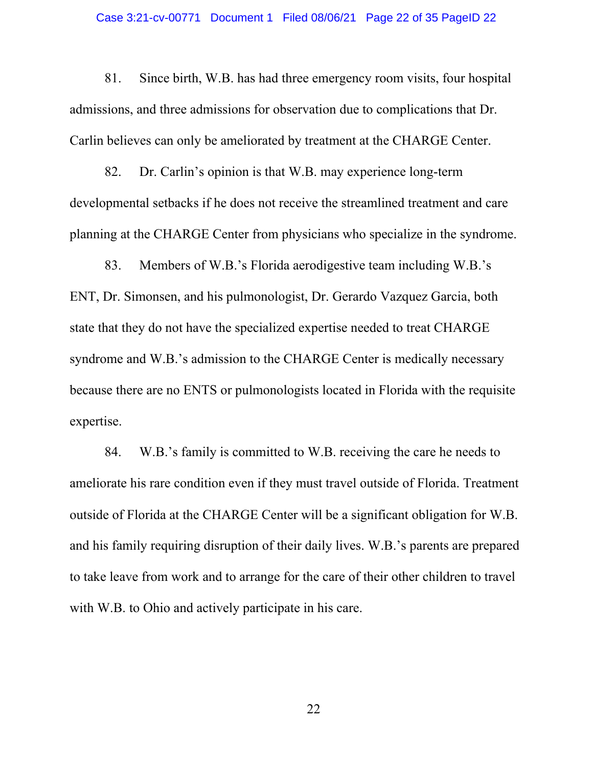#### Case 3:21-cv-00771 Document 1 Filed 08/06/21 Page 22 of 35 PageID 22

81. Since birth, W.B. has had three emergency room visits, four hospital admissions, and three admissions for observation due to complications that Dr. Carlin believes can only be ameliorated by treatment at the CHARGE Center.

82. Dr. Carlin's opinion is that W.B. may experience long-term developmental setbacks if he does not receive the streamlined treatment and care planning at the CHARGE Center from physicians who specialize in the syndrome.

83. Members of W.B.'s Florida aerodigestive team including W.B.'s ENT, Dr. Simonsen, and his pulmonologist, Dr. Gerardo Vazquez Garcia, both state that they do not have the specialized expertise needed to treat CHARGE syndrome and W.B.'s admission to the CHARGE Center is medically necessary because there are no ENTS or pulmonologists located in Florida with the requisite expertise.

84. W.B.'s family is committed to W.B. receiving the care he needs to ameliorate his rare condition even if they must travel outside of Florida. Treatment outside of Florida at the CHARGE Center will be a significant obligation for W.B. and his family requiring disruption of their daily lives. W.B.'s parents are prepared to take leave from work and to arrange for the care of their other children to travel with W.B. to Ohio and actively participate in his care.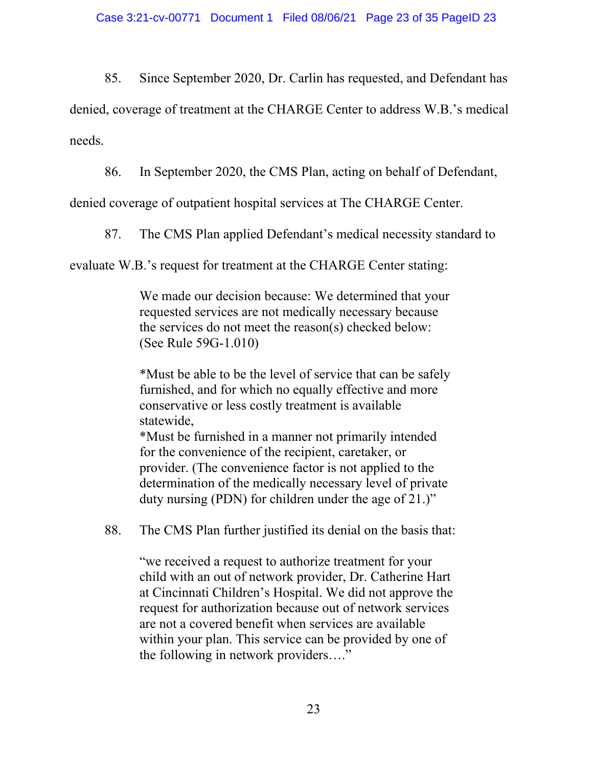85. Since September 2020, Dr. Carlin has requested, and Defendant has

denied, coverage of treatment at the CHARGE Center to address W.B.'s medical needs.

86. In September 2020, the CMS Plan, acting on behalf of Defendant,

denied coverage of outpatient hospital services at The CHARGE Center.

87. The CMS Plan applied Defendant's medical necessity standard to

evaluate W.B.'s request for treatment at the CHARGE Center stating:

We made our decision because: We determined that your requested services are not medically necessary because the services do not meet the reason(s) checked below: (See Rule 59G-1.010)

\*Must be able to be the level of service that can be safely furnished, and for which no equally effective and more conservative or less costly treatment is available statewide,

\*Must be furnished in a manner not primarily intended for the convenience of the recipient, caretaker, or provider. (The convenience factor is not applied to the determination of the medically necessary level of private duty nursing (PDN) for children under the age of 21.)"

88. The CMS Plan further justified its denial on the basis that:

"we received a request to authorize treatment for your child with an out of network provider, Dr. Catherine Hart at Cincinnati Children's Hospital. We did not approve the request for authorization because out of network services are not a covered benefit when services are available within your plan. This service can be provided by one of the following in network providers…."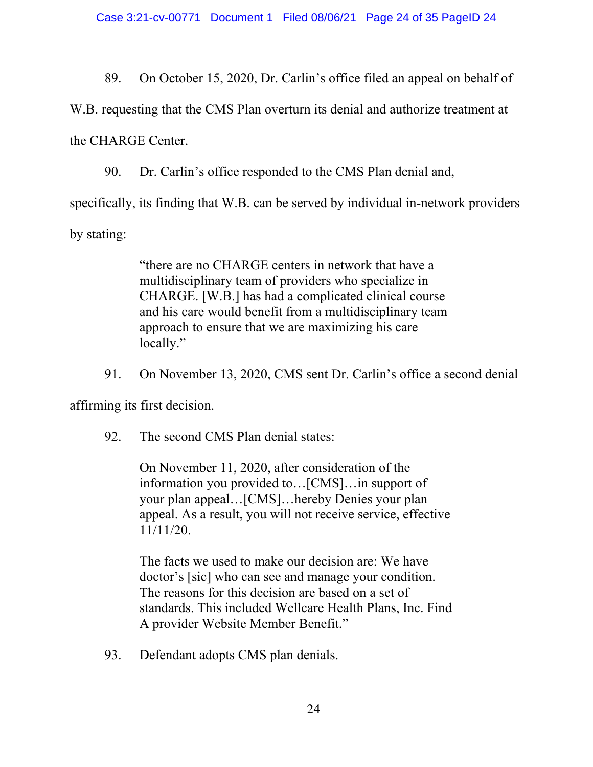89. On October 15, 2020, Dr. Carlin's office filed an appeal on behalf of

W.B. requesting that the CMS Plan overturn its denial and authorize treatment at

the CHARGE Center.

90. Dr. Carlin's office responded to the CMS Plan denial and,

specifically, its finding that W.B. can be served by individual in-network providers

by stating:

"there are no CHARGE centers in network that have a multidisciplinary team of providers who specialize in CHARGE. [W.B.] has had a complicated clinical course and his care would benefit from a multidisciplinary team approach to ensure that we are maximizing his care locally."

91. On November 13, 2020, CMS sent Dr. Carlin's office a second denial

affirming its first decision.

92. The second CMS Plan denial states:

On November 11, 2020, after consideration of the information you provided to…[CMS]…in support of your plan appeal…[CMS]…hereby Denies your plan appeal. As a result, you will not receive service, effective 11/11/20.

The facts we used to make our decision are: We have doctor's [sic] who can see and manage your condition. The reasons for this decision are based on a set of standards. This included Wellcare Health Plans, Inc. Find A provider Website Member Benefit."

93. Defendant adopts CMS plan denials.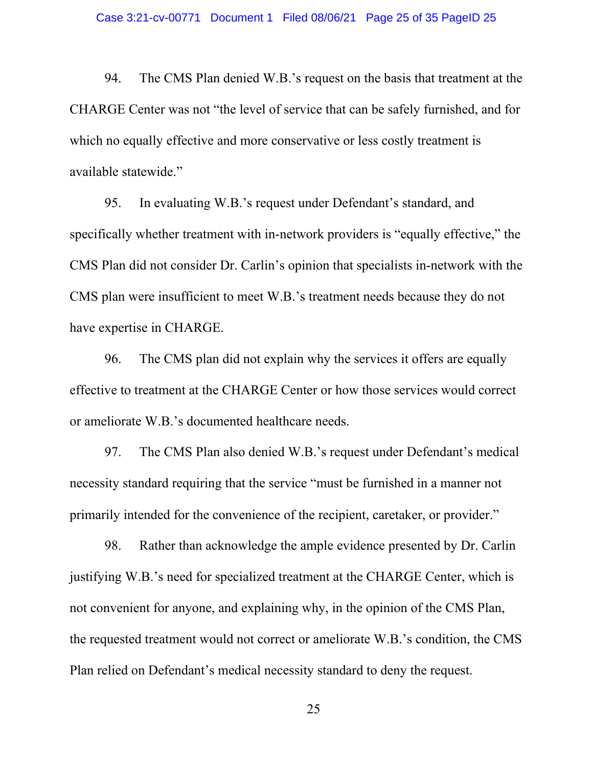94. The CMS Plan denied W.B.'s request on the basis that treatment at the CHARGE Center was not "the level of service that can be safely furnished, and for which no equally effective and more conservative or less costly treatment is available statewide."

95. In evaluating W.B.'s request under Defendant's standard, and specifically whether treatment with in-network providers is "equally effective," the CMS Plan did not consider Dr. Carlin's opinion that specialists in-network with the CMS plan were insufficient to meet W.B.'s treatment needs because they do not have expertise in CHARGE.

96. The CMS plan did not explain why the services it offers are equally effective to treatment at the CHARGE Center or how those services would correct or ameliorate W.B.'s documented healthcare needs.

97. The CMS Plan also denied W.B.'s request under Defendant's medical necessity standard requiring that the service "must be furnished in a manner not primarily intended for the convenience of the recipient, caretaker, or provider."

98. Rather than acknowledge the ample evidence presented by Dr. Carlin justifying W.B.'s need for specialized treatment at the CHARGE Center, which is not convenient for anyone, and explaining why, in the opinion of the CMS Plan, the requested treatment would not correct or ameliorate W.B.'s condition, the CMS Plan relied on Defendant's medical necessity standard to deny the request.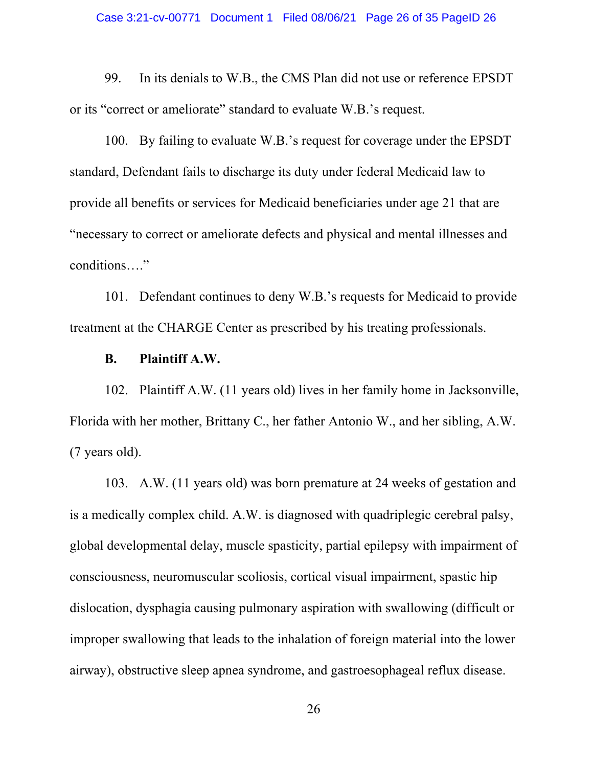99. In its denials to W.B., the CMS Plan did not use or reference EPSDT or its "correct or ameliorate" standard to evaluate W.B.'s request.

100. By failing to evaluate W.B.'s request for coverage under the EPSDT standard, Defendant fails to discharge its duty under federal Medicaid law to provide all benefits or services for Medicaid beneficiaries under age 21 that are "necessary to correct or ameliorate defects and physical and mental illnesses and conditions…."

101. Defendant continues to deny W.B.'s requests for Medicaid to provide treatment at the CHARGE Center as prescribed by his treating professionals.

## **B. Plaintiff A.W.**

102. Plaintiff A.W. (11 years old) lives in her family home in Jacksonville, Florida with her mother, Brittany C., her father Antonio W., and her sibling, A.W. (7 years old).

103. A.W. (11 years old) was born premature at 24 weeks of gestation and is a medically complex child. A.W. is diagnosed with quadriplegic cerebral palsy, global developmental delay, muscle spasticity, partial epilepsy with impairment of consciousness, neuromuscular scoliosis, cortical visual impairment, spastic hip dislocation, dysphagia causing pulmonary aspiration with swallowing (difficult or improper swallowing that leads to the inhalation of foreign material into the lower airway), obstructive sleep apnea syndrome, and gastroesophageal reflux disease.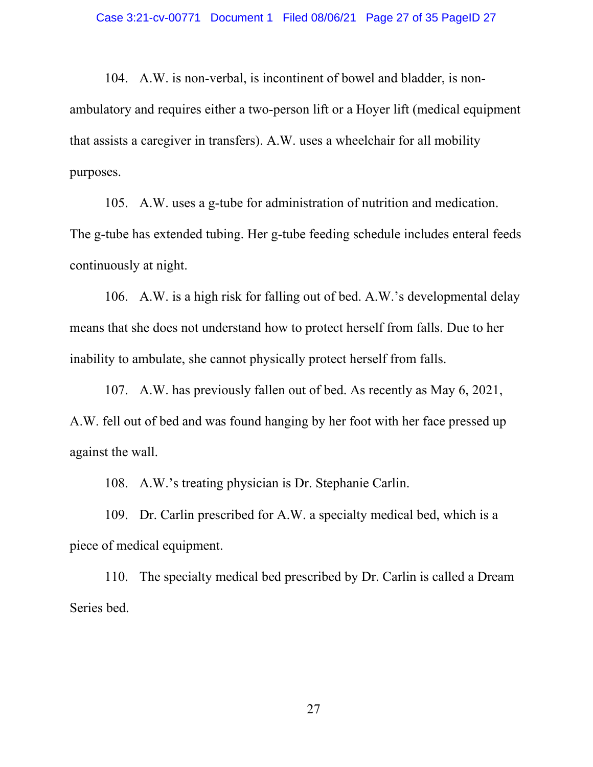104. A.W. is non-verbal, is incontinent of bowel and bladder, is nonambulatory and requires either a two-person lift or a Hoyer lift (medical equipment that assists a caregiver in transfers). A.W. uses a wheelchair for all mobility purposes.

105. A.W. uses a g-tube for administration of nutrition and medication. The g-tube has extended tubing. Her g-tube feeding schedule includes enteral feeds continuously at night.

106. A.W. is a high risk for falling out of bed. A.W.'s developmental delay means that she does not understand how to protect herself from falls. Due to her inability to ambulate, she cannot physically protect herself from falls.

107. A.W. has previously fallen out of bed. As recently as May 6, 2021, A.W. fell out of bed and was found hanging by her foot with her face pressed up against the wall.

108. A.W.'s treating physician is Dr. Stephanie Carlin.

109. Dr. Carlin prescribed for A.W. a specialty medical bed, which is a piece of medical equipment.

110. The specialty medical bed prescribed by Dr. Carlin is called a Dream Series bed.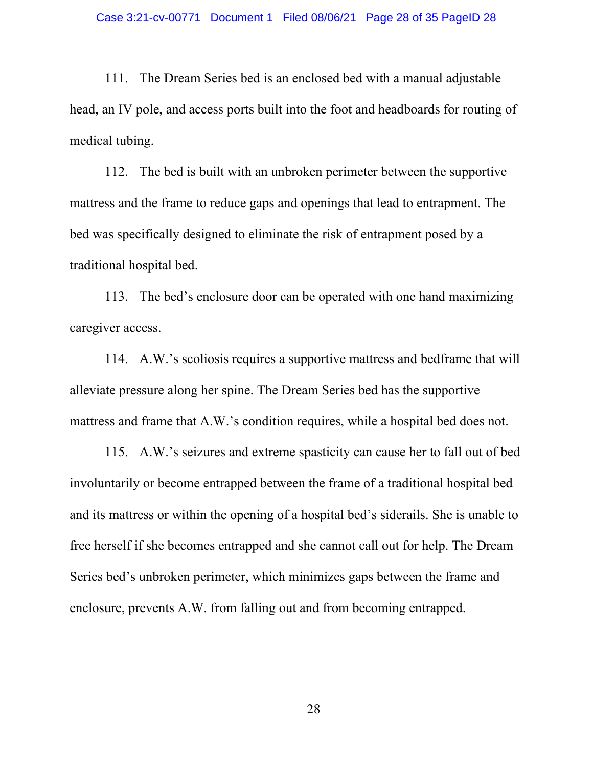111. The Dream Series bed is an enclosed bed with a manual adjustable head, an IV pole, and access ports built into the foot and headboards for routing of medical tubing.

112. The bed is built with an unbroken perimeter between the supportive mattress and the frame to reduce gaps and openings that lead to entrapment. The bed was specifically designed to eliminate the risk of entrapment posed by a traditional hospital bed.

113. The bed's enclosure door can be operated with one hand maximizing caregiver access.

114. A.W.'s scoliosis requires a supportive mattress and bedframe that will alleviate pressure along her spine. The Dream Series bed has the supportive mattress and frame that A.W.'s condition requires, while a hospital bed does not.

115. A.W.'s seizures and extreme spasticity can cause her to fall out of bed involuntarily or become entrapped between the frame of a traditional hospital bed and its mattress or within the opening of a hospital bed's siderails. She is unable to free herself if she becomes entrapped and she cannot call out for help. The Dream Series bed's unbroken perimeter, which minimizes gaps between the frame and enclosure, prevents A.W. from falling out and from becoming entrapped.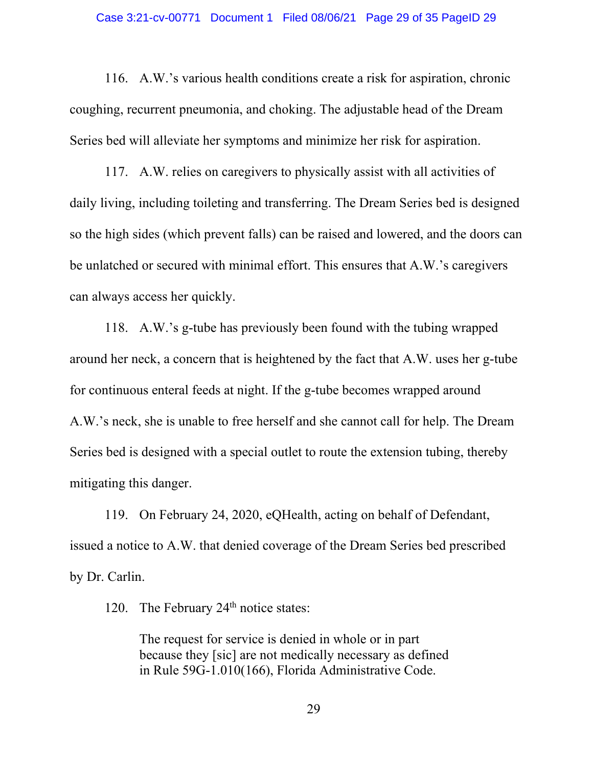116. A.W.'s various health conditions create a risk for aspiration, chronic coughing, recurrent pneumonia, and choking. The adjustable head of the Dream Series bed will alleviate her symptoms and minimize her risk for aspiration.

117. A.W. relies on caregivers to physically assist with all activities of daily living, including toileting and transferring. The Dream Series bed is designed so the high sides (which prevent falls) can be raised and lowered, and the doors can be unlatched or secured with minimal effort. This ensures that A.W.'s caregivers can always access her quickly.

118. A.W.'s g-tube has previously been found with the tubing wrapped around her neck, a concern that is heightened by the fact that A.W. uses her g-tube for continuous enteral feeds at night. If the g-tube becomes wrapped around A.W.'s neck, she is unable to free herself and she cannot call for help. The Dream Series bed is designed with a special outlet to route the extension tubing, thereby mitigating this danger.

119. On February 24, 2020, eQHealth, acting on behalf of Defendant, issued a notice to A.W. that denied coverage of the Dream Series bed prescribed by Dr. Carlin.

120. The February  $24<sup>th</sup>$  notice states:

The request for service is denied in whole or in part because they [sic] are not medically necessary as defined in Rule 59G-1.010(166), Florida Administrative Code.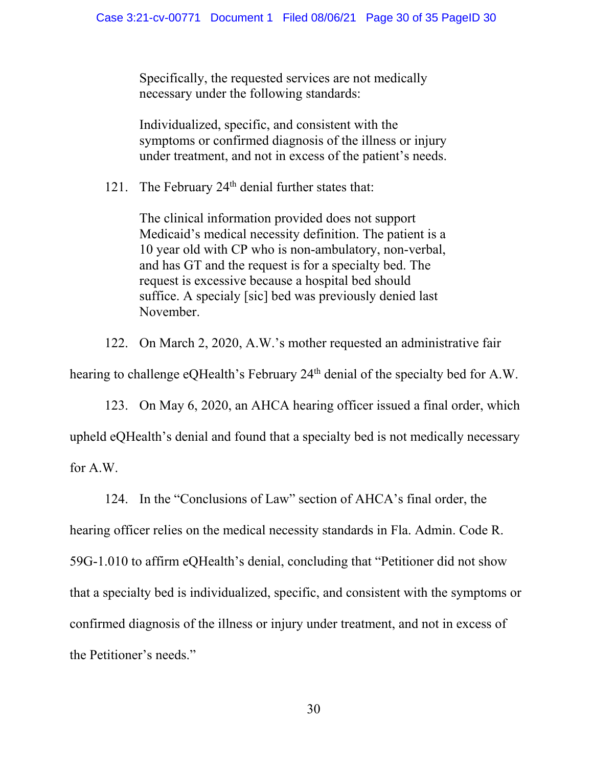Specifically, the requested services are not medically necessary under the following standards:

Individualized, specific, and consistent with the symptoms or confirmed diagnosis of the illness or injury under treatment, and not in excess of the patient's needs.

121. The February  $24<sup>th</sup>$  denial further states that:

The clinical information provided does not support Medicaid's medical necessity definition. The patient is a 10 year old with CP who is non-ambulatory, non-verbal, and has GT and the request is for a specialty bed. The request is excessive because a hospital bed should suffice. A specialy [sic] bed was previously denied last November.

122. On March 2, 2020, A.W.'s mother requested an administrative fair

hearing to challenge eOHealth's February 24<sup>th</sup> denial of the specialty bed for A.W.

123. On May 6, 2020, an AHCA hearing officer issued a final order, which upheld eQHealth's denial and found that a specialty bed is not medically necessary for A.W.

124. In the "Conclusions of Law" section of AHCA's final order, the

hearing officer relies on the medical necessity standards in Fla. Admin. Code R. 59G-1.010 to affirm eQHealth's denial, concluding that "Petitioner did not show that a specialty bed is individualized, specific, and consistent with the symptoms or confirmed diagnosis of the illness or injury under treatment, and not in excess of the Petitioner's needs."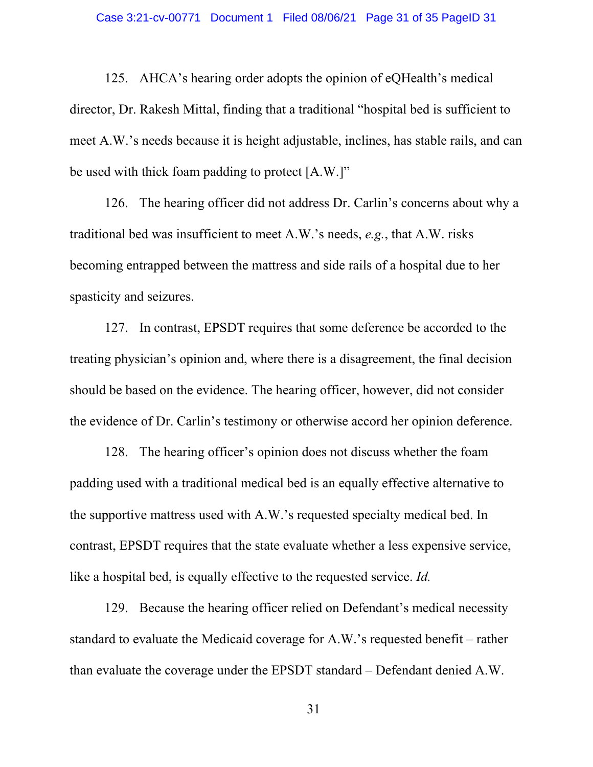125. AHCA's hearing order adopts the opinion of eQHealth's medical director, Dr. Rakesh Mittal, finding that a traditional "hospital bed is sufficient to meet A.W.'s needs because it is height adjustable, inclines, has stable rails, and can be used with thick foam padding to protect [A.W.]"

126. The hearing officer did not address Dr. Carlin's concerns about why a traditional bed was insufficient to meet A.W.'s needs, *e.g.*, that A.W. risks becoming entrapped between the mattress and side rails of a hospital due to her spasticity and seizures.

127. In contrast, EPSDT requires that some deference be accorded to the treating physician's opinion and, where there is a disagreement, the final decision should be based on the evidence. The hearing officer, however, did not consider the evidence of Dr. Carlin's testimony or otherwise accord her opinion deference.

128. The hearing officer's opinion does not discuss whether the foam padding used with a traditional medical bed is an equally effective alternative to the supportive mattress used with A.W.'s requested specialty medical bed. In contrast, EPSDT requires that the state evaluate whether a less expensive service, like a hospital bed, is equally effective to the requested service. *Id.*

129. Because the hearing officer relied on Defendant's medical necessity standard to evaluate the Medicaid coverage for A.W.'s requested benefit – rather than evaluate the coverage under the EPSDT standard – Defendant denied A.W.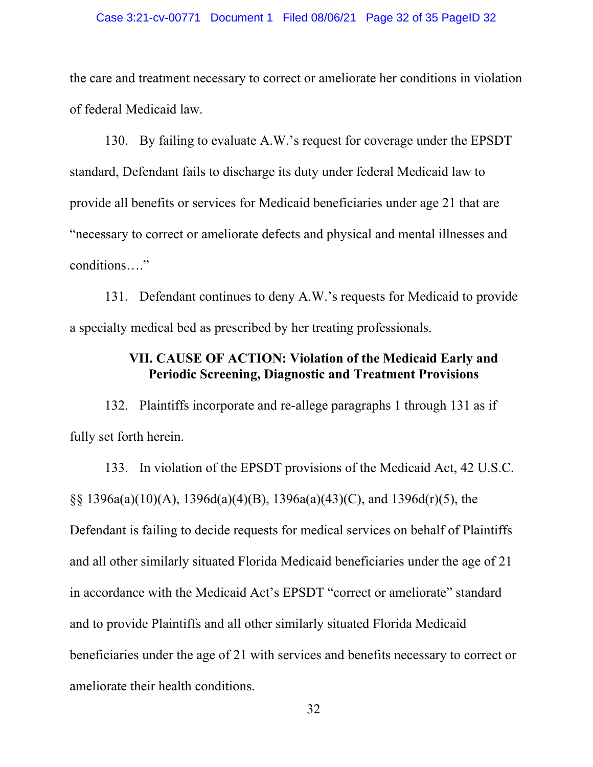#### Case 3:21-cv-00771 Document 1 Filed 08/06/21 Page 32 of 35 PageID 32

the care and treatment necessary to correct or ameliorate her conditions in violation of federal Medicaid law.

130. By failing to evaluate A.W.'s request for coverage under the EPSDT standard, Defendant fails to discharge its duty under federal Medicaid law to provide all benefits or services for Medicaid beneficiaries under age 21 that are "necessary to correct or ameliorate defects and physical and mental illnesses and conditions…."

131. Defendant continues to deny A.W.'s requests for Medicaid to provide a specialty medical bed as prescribed by her treating professionals.

# **VII. CAUSE OF ACTION: Violation of the Medicaid Early and Periodic Screening, Diagnostic and Treatment Provisions**

132. Plaintiffs incorporate and re-allege paragraphs 1 through 131 as if fully set forth herein.

133. In violation of the EPSDT provisions of the Medicaid Act, 42 U.S.C. §§ 1396a(a)(10)(A), 1396d(a)(4)(B), 1396a(a)(43)(C), and 1396d(r)(5), the Defendant is failing to decide requests for medical services on behalf of Plaintiffs and all other similarly situated Florida Medicaid beneficiaries under the age of 21 in accordance with the Medicaid Act's EPSDT "correct or ameliorate" standard and to provide Plaintiffs and all other similarly situated Florida Medicaid beneficiaries under the age of 21 with services and benefits necessary to correct or ameliorate their health conditions.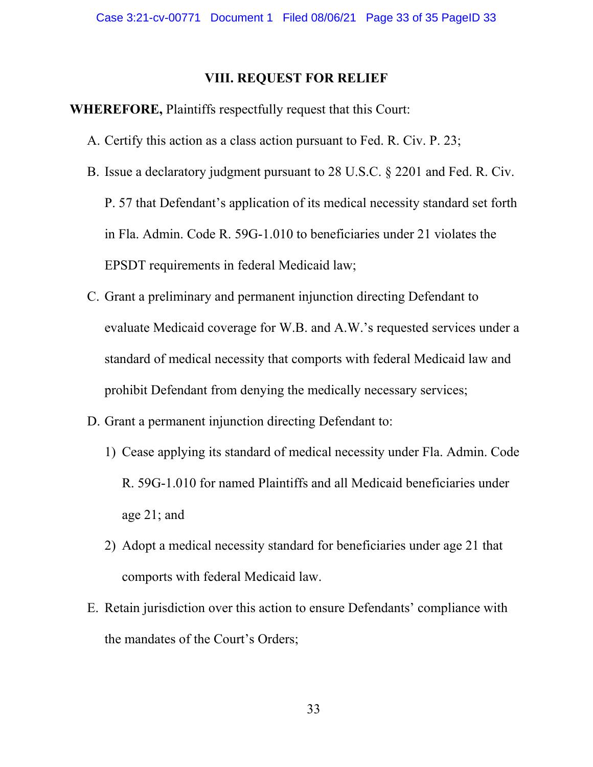## **VIII. REQUEST FOR RELIEF**

## **WHEREFORE,** Plaintiffs respectfully request that this Court:

- A. Certify this action as a class action pursuant to Fed. R. Civ. P. 23;
- B. Issue a declaratory judgment pursuant to 28 U.S.C. § 2201 and Fed. R. Civ. P. 57 that Defendant's application of its medical necessity standard set forth in Fla. Admin. Code R. 59G-1.010 to beneficiaries under 21 violates the EPSDT requirements in federal Medicaid law;
- C. Grant a preliminary and permanent injunction directing Defendant to evaluate Medicaid coverage for W.B. and A.W.'s requested services under a standard of medical necessity that comports with federal Medicaid law and prohibit Defendant from denying the medically necessary services;
- D. Grant a permanent injunction directing Defendant to:
	- 1) Cease applying its standard of medical necessity under Fla. Admin. Code R. 59G-1.010 for named Plaintiffs and all Medicaid beneficiaries under age 21; and
	- 2) Adopt a medical necessity standard for beneficiaries under age 21 that comports with federal Medicaid law.
- E. Retain jurisdiction over this action to ensure Defendants' compliance with the mandates of the Court's Orders;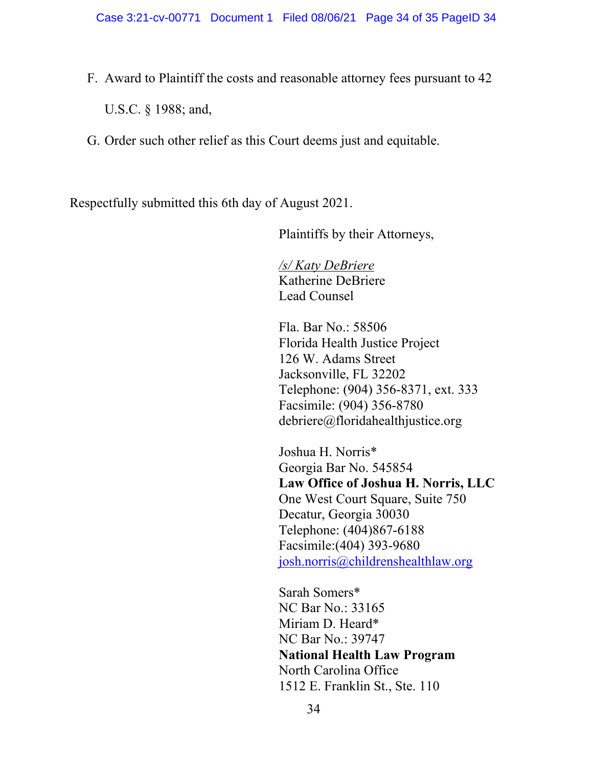- F. Award to Plaintiff the costs and reasonable attorney fees pursuant to 42 U.S.C. § 1988; and,
- G. Order such other relief as this Court deems just and equitable.

Respectfully submitted this 6th day of August 2021.

Plaintiffs by their Attorneys,

*/s/ Katy DeBriere*  Katherine DeBriere Lead Counsel

Fla. Bar No.: 58506 Florida Health Justice Project 126 W. Adams Street Jacksonville, FL 32202 Telephone: (904) 356-8371, ext. 333 Facsimile: (904) 356-8780 debriere@floridahealthjustice.org

Joshua H. Norris\* Georgia Bar No. 545854 **Law Office of Joshua H. Norris, LLC** One West Court Square, Suite 750 Decatur, Georgia 30030 Telephone: (404)867-6188 Facsimile:(404) 393-9680 [josh.norris@childrenshealthlaw.org](mailto:josh.norris@childrenshealthlaw.org)

Sarah Somers\* NC Bar No.: 33165 Miriam D. Heard\* NC Bar No.: 39747 **National Health Law Program** North Carolina Office 1512 E. Franklin St., Ste. 110